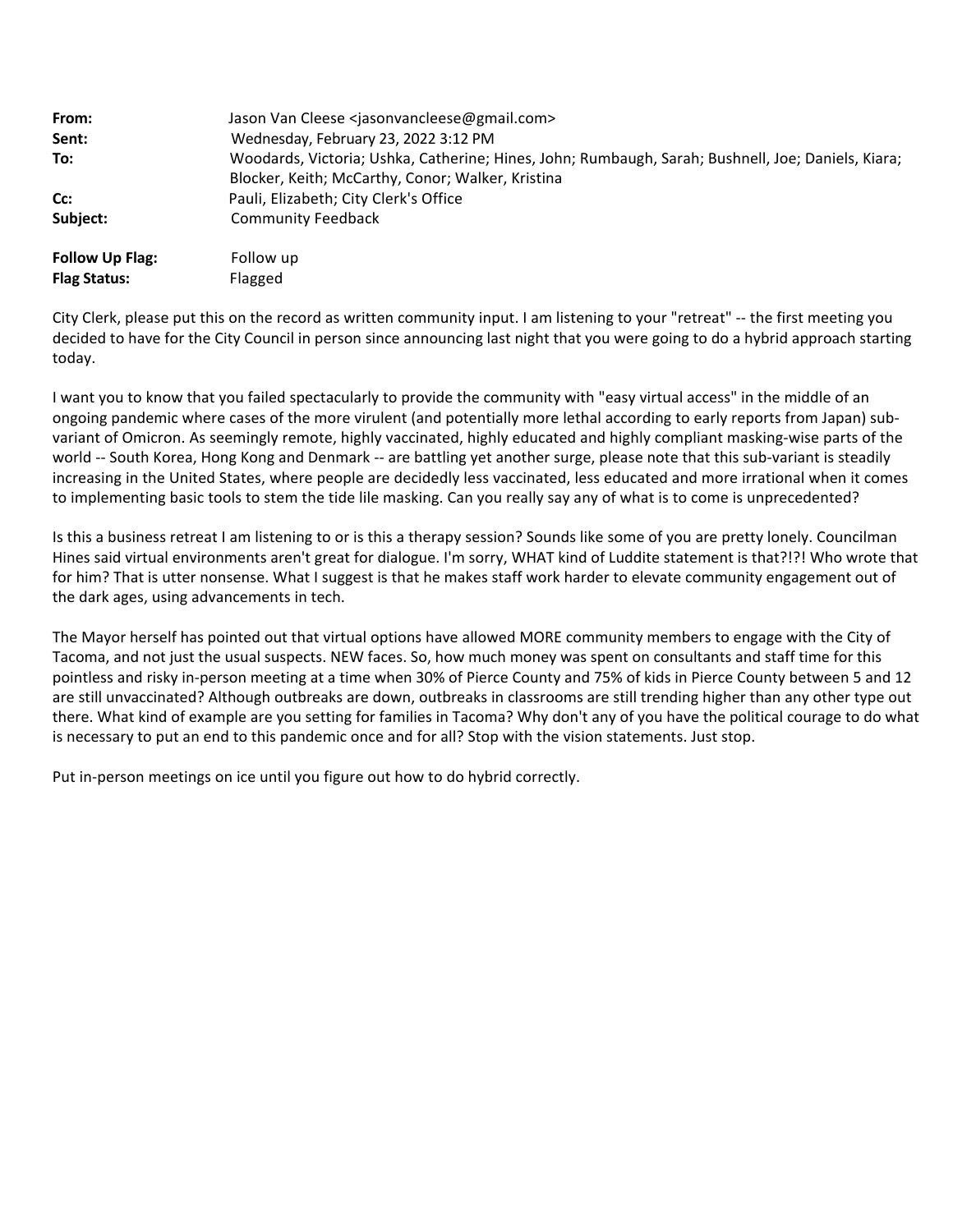| From:                                         | Jason Van Cleese <jasonvancleese@gmail.com></jasonvancleese@gmail.com>                                                                                  |
|-----------------------------------------------|---------------------------------------------------------------------------------------------------------------------------------------------------------|
| Sent:                                         | Wednesday, February 23, 2022 3:12 PM                                                                                                                    |
| To:                                           | Woodards, Victoria; Ushka, Catherine; Hines, John; Rumbaugh, Sarah; Bushnell, Joe; Daniels, Kiara;<br>Blocker, Keith; McCarthy, Conor; Walker, Kristina |
| Cc:                                           | Pauli, Elizabeth; City Clerk's Office                                                                                                                   |
| Subject:                                      | <b>Community Feedback</b>                                                                                                                               |
| <b>Follow Up Flag:</b><br><b>Flag Status:</b> | Follow up<br>Flagged                                                                                                                                    |

City Clerk, please put this on the record as written community input. I am listening to your "retreat" ‐‐ the first meeting you decided to have for the City Council in person since announcing last night that you were going to do a hybrid approach starting today.

I want you to know that you failed spectacularly to provide the community with "easy virtual access" in the middle of an ongoing pandemic where cases of the more virulent (and potentially more lethal according to early reports from Japan) sub‐ variant of Omicron. As seemingly remote, highly vaccinated, highly educated and highly compliant masking‐wise parts of the world -- South Korea, Hong Kong and Denmark -- are battling yet another surge, please note that this sub-variant is steadily increasing in the United States, where people are decidedly less vaccinated, less educated and more irrational when it comes to implementing basic tools to stem the tide lile masking. Can you really say any of what is to come is unprecedented?

Is this a business retreat I am listening to or is this a therapy session? Sounds like some of you are pretty lonely. Councilman Hines said virtual environments aren't great for dialogue. I'm sorry, WHAT kind of Luddite statement is that?!?! Who wrote that for him? That is utter nonsense. What I suggest is that he makes staff work harder to elevate community engagement out of the dark ages, using advancements in tech.

The Mayor herself has pointed out that virtual options have allowed MORE community members to engage with the City of Tacoma, and not just the usual suspects. NEW faces. So, how much money was spent on consultants and staff time for this pointless and risky in‐person meeting at a time when 30% of Pierce County and 75% of kids in Pierce County between 5 and 12 are still unvaccinated? Although outbreaks are down, outbreaks in classrooms are still trending higher than any other type out there. What kind of example are you setting for families in Tacoma? Why don't any of you have the political courage to do what is necessary to put an end to this pandemic once and for all? Stop with the vision statements. Just stop.

Put in‐person meetings on ice until you figure out how to do hybrid correctly.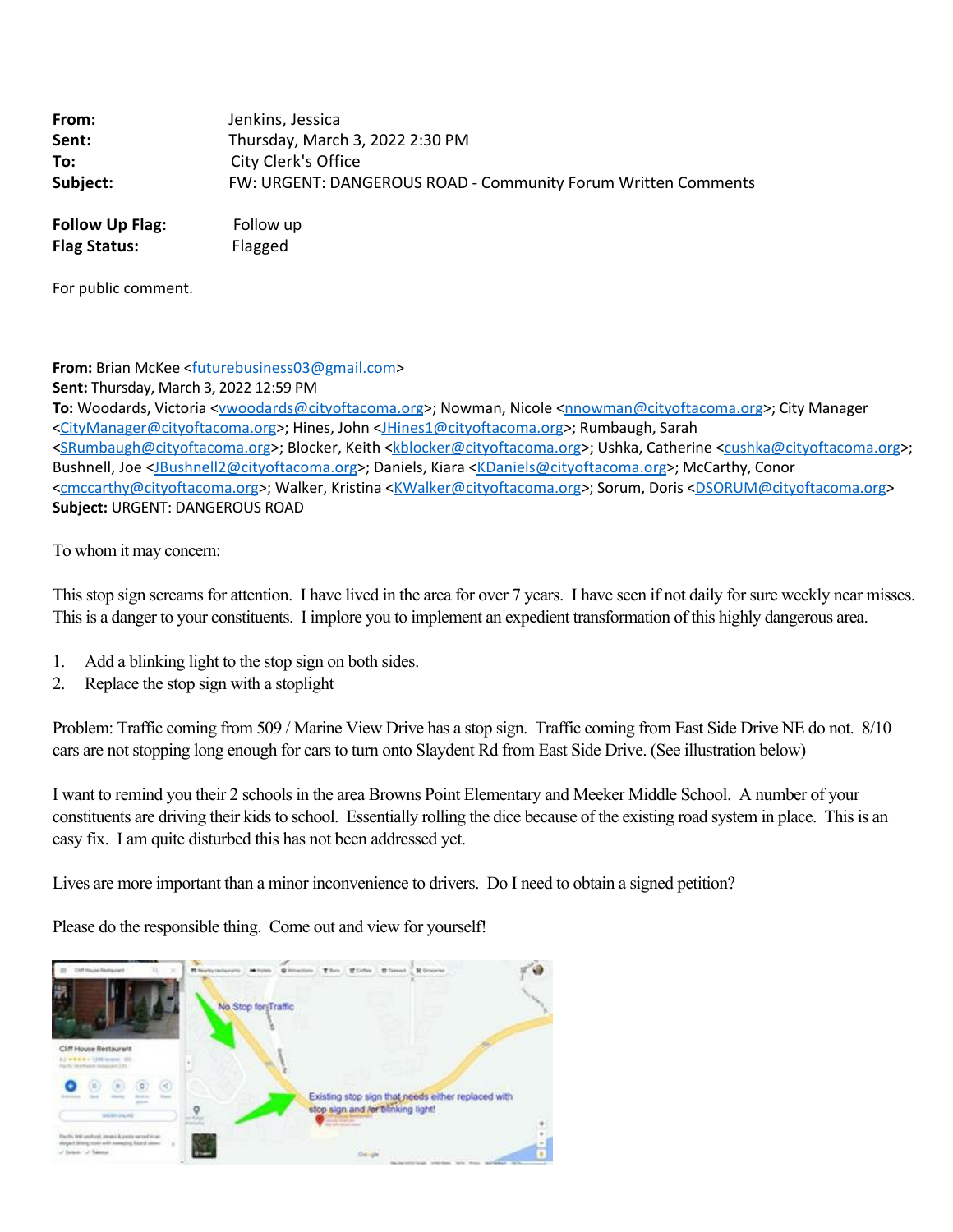| From:    | Jenkins, Jessica                                              |
|----------|---------------------------------------------------------------|
| Sent:    | Thursday, March 3, 2022 2:30 PM                               |
| To:      | City Clerk's Office                                           |
| Subject: | FW: URGENT: DANGEROUS ROAD - Community Forum Written Comments |
|          |                                                               |

**Follow Up Flag:** Follow up **Flag Status:** Flagged

For public comment.

**From:** Brian McKee [<futurebusiness03@gmail.com>](mailto:futurebusiness03@gmail.com)

**Sent:** Thursday, March 3, 2022 12:59 PM

**To:** Woodards, Victoria <[vwoodards@cityoftacoma.org](mailto:vwoodards@cityoftacoma.org)>; Nowman, Nicole <[nnowman@cityoftacoma.org](mailto:nnowman@cityoftacoma.org)>; City Manager [<CityManager@cityoftacoma.org>](mailto:CityManager@cityoftacoma.org); Hines, John [<JHines1@cityoftacoma.org](mailto:JHines1@cityoftacoma.org)>; Rumbaugh, Sarah [<SRumbaugh@cityoftacoma.org](mailto:SRumbaugh@cityoftacoma.org)>; Blocker, Keith [<kblocker@cityoftacoma.org>](mailto:kblocker@cityoftacoma.org); Ushka, Catherine [<cushka@cityoftacoma.org>](mailto:cushka@cityoftacoma.org); Bushnell, Joe [<JBushnell2@cityoftacoma.org>](mailto:JBushnell2@cityoftacoma.org); Daniels, Kiara <[KDaniels@cityoftacoma.org](mailto:KDaniels@cityoftacoma.org)>; McCarthy, Conor [<cmccarthy@cityoftacoma.org](mailto:cmccarthy@cityoftacoma.org)>; Walker, Kristina [<KWalker@cityoftacoma.org>](mailto:KWalker@cityoftacoma.org); Sorum, Doris <[DSORUM@cityoftacoma.org>](mailto:DSORUM@cityoftacoma.org) **Subject:** URGENT: DANGEROUS ROAD

To whom it may concern:

This stop sign screams for attention. I have lived in the area for over 7 years. I have seen if not daily for sure weekly near misses. This is a danger to your constituents. I implore you to implement an expedient transformation of this highly dangerous area.

- 1. Add a blinking light to the stop sign on both sides.
- 2. Replace the stop sign with a stoplight

Problem: Traffic coming from 509 / Marine View Drive has a stop sign. Traffic coming from East Side Drive NE do not. 8/10 cars are not stopping long enough for cars to turn onto Slaydent Rd from East Side Drive. (See illustration below)

I want to remind you their 2 schools in the area Browns Point Elementary and Meeker Middle School. A number of your constituents are driving their kids to school. Essentially rolling the dice because of the existing road system in place. This is an easy fix. I am quite disturbed this has not been addressed yet.

Lives are more important than a minor inconvenience to drivers. Do I need to obtain a signed petition?

Please do the responsible thing. Come out and view for yourself!

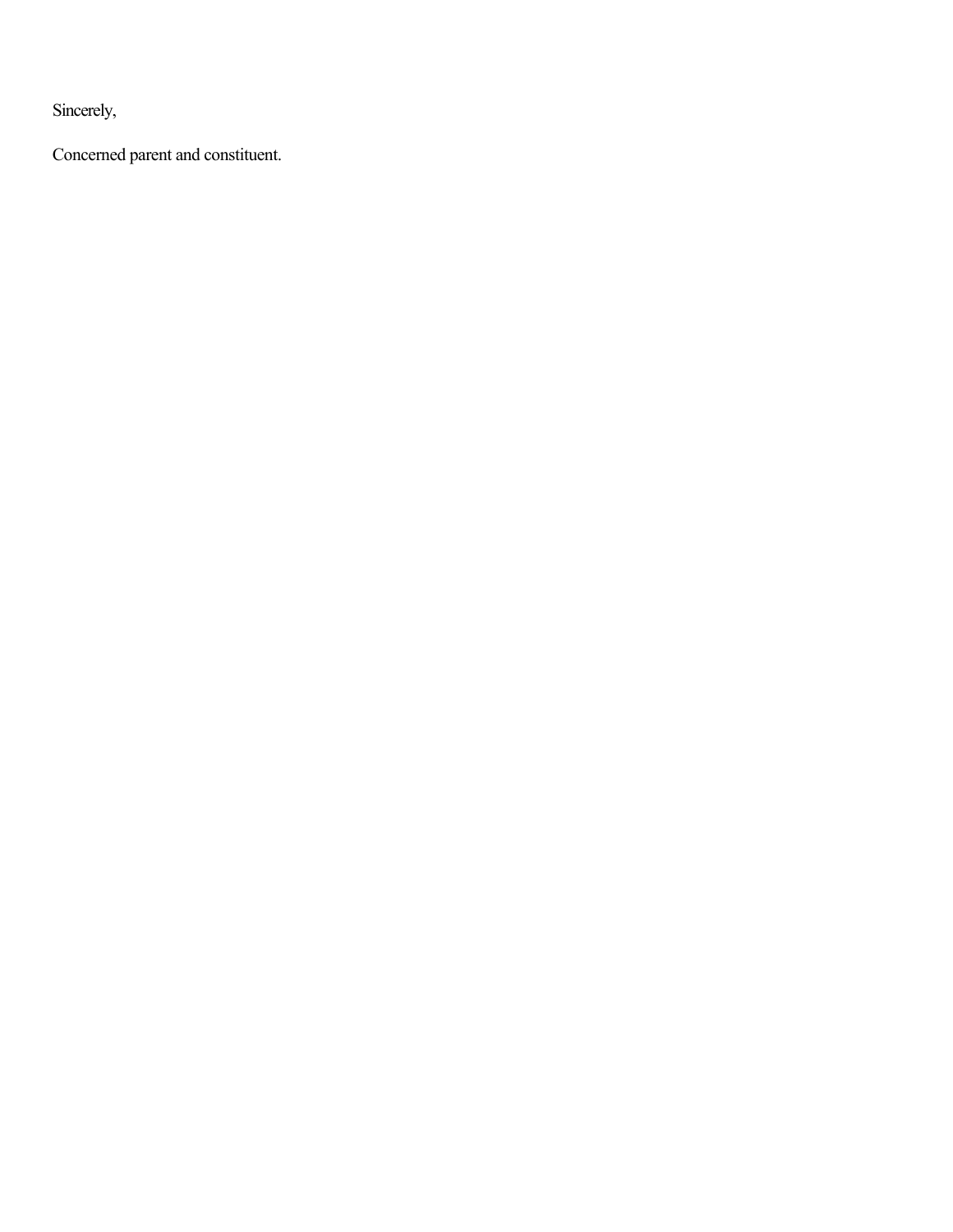Sincerely,

Concerned parent and constituent.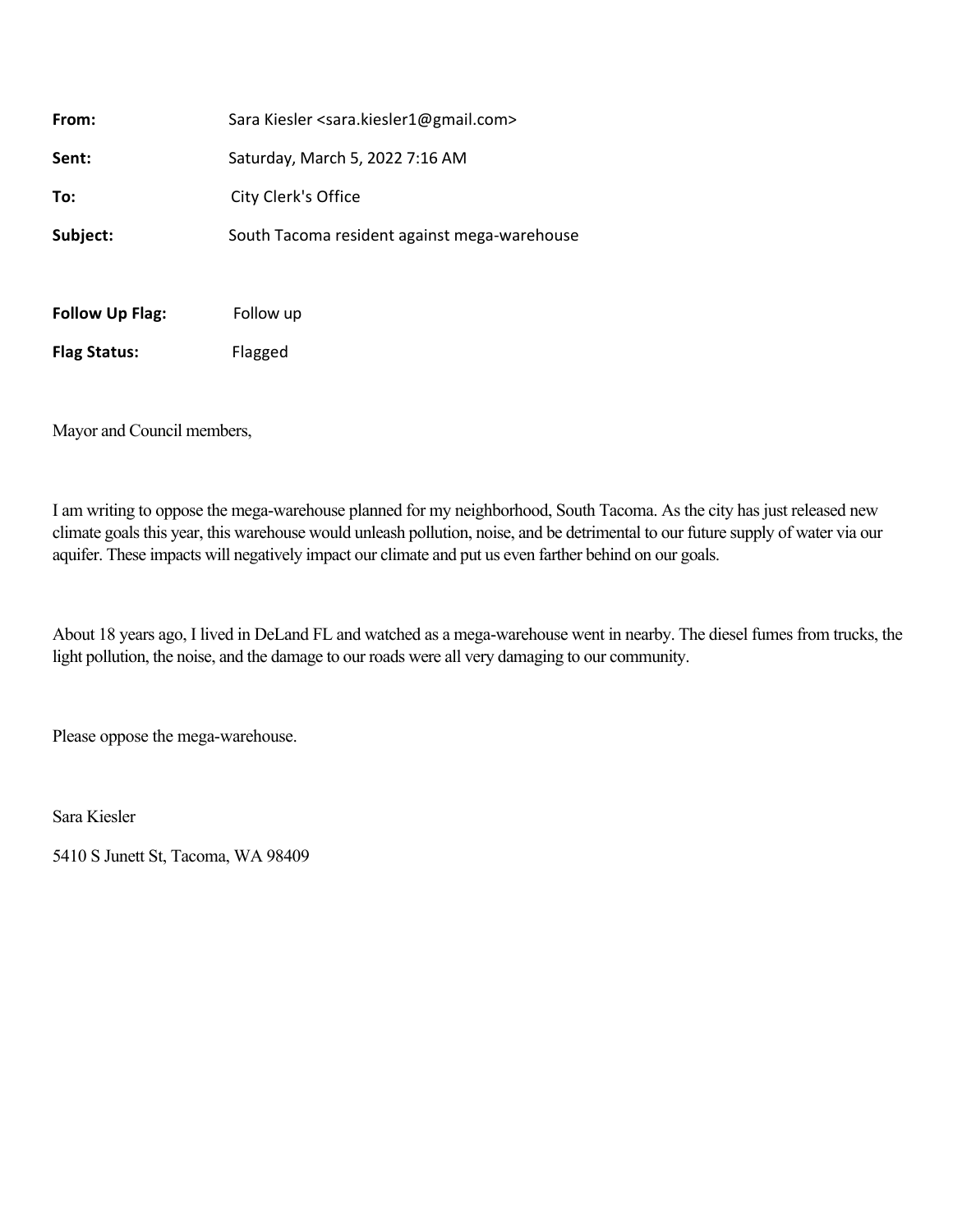| From:                  | Sara Kiesler <sara.kiesler1@gmail.com></sara.kiesler1@gmail.com> |
|------------------------|------------------------------------------------------------------|
| Sent:                  | Saturday, March 5, 2022 7:16 AM                                  |
| To:                    | City Clerk's Office                                              |
| Subject:               | South Tacoma resident against mega-warehouse                     |
|                        |                                                                  |
| <b>Follow Up Flag:</b> | Follow up                                                        |

**Flag Status:** Flagged

Mayor and Council members,

I am writing to oppose the mega-warehouse planned for my neighborhood, South Tacoma. As the city has just released new climate goals this year, this warehouse would unleash pollution, noise, and be detrimental to our future supply of water via our aquifer. These impacts will negatively impact our climate and put us even farther behind on our goals.

About 18 years ago, I lived in DeLand FL and watched as a mega-warehouse went in nearby. The diesel fumes from trucks, the light pollution, the noise, and the damage to our roads were all very damaging to our community.

Please oppose the mega-warehouse.

Sara Kiesler

5410 S Junett St, Tacoma, WA 98409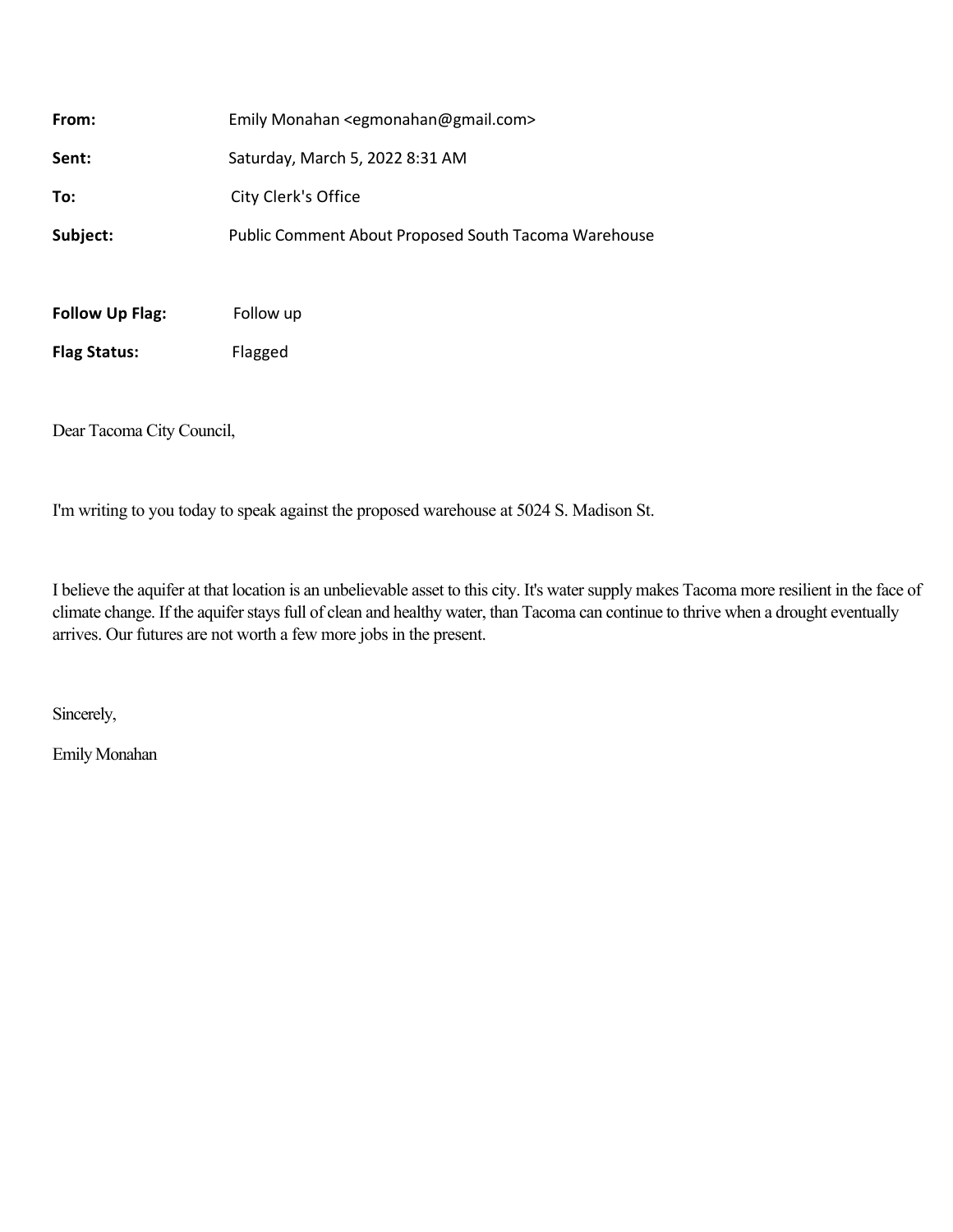| <b>Follow Up Flag:</b> | Follow up                                                 |
|------------------------|-----------------------------------------------------------|
| Subject:               | Public Comment About Proposed South Tacoma Warehouse      |
| To:                    | City Clerk's Office                                       |
| Sent:                  | Saturday, March 5, 2022 8:31 AM                           |
| From:                  | Emily Monahan <egmonahan@gmail.com></egmonahan@gmail.com> |

**Flag Status:** Flagged

Dear Tacoma City Council,

I'm writing to you today to speak against the proposed warehouse at 5024 S. Madison St.

I believe the aquifer at that location is an unbelievable asset to this city. It's water supply makes Tacoma more resilient in the face of climate change. If the aquifer stays full of clean and healthy water, than Tacoma can continue to thrive when a drought eventually arrives. Our futures are not worth a few more jobs in the present.

Sincerely,

Emily Monahan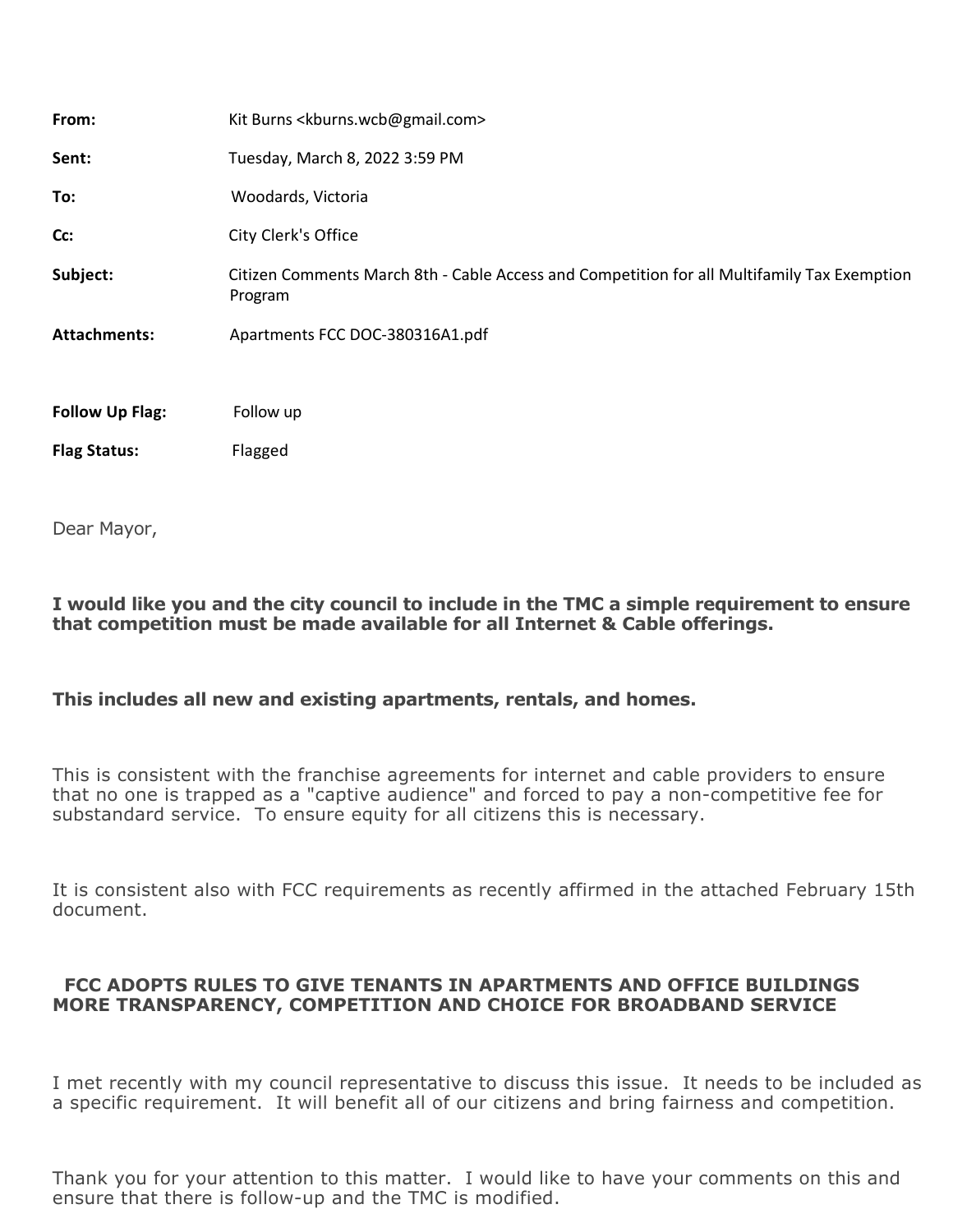| From:                  | Kit Burns <kburns.wcb@gmail.com></kburns.wcb@gmail.com>                                                |
|------------------------|--------------------------------------------------------------------------------------------------------|
| Sent:                  | Tuesday, March 8, 2022 3:59 PM                                                                         |
| To:                    | Woodards, Victoria                                                                                     |
| Cc:                    | City Clerk's Office                                                                                    |
| Subject:               | Citizen Comments March 8th - Cable Access and Competition for all Multifamily Tax Exemption<br>Program |
| <b>Attachments:</b>    | Apartments FCC DOC-380316A1.pdf                                                                        |
| <b>Follow Up Flag:</b> | Follow up                                                                                              |
| <b>Flag Status:</b>    | Flagged                                                                                                |
|                        |                                                                                                        |

Dear Mayor,

**I would like you and the city council to include in the TMC a simple requirement to ensure that competition must be made available for all Internet & Cable offerings.** 

## **This includes all new and existing apartments, rentals, and homes.**

This is consistent with the franchise agreements for internet and cable providers to ensure that no one is trapped as a "captive audience" and forced to pay a non-competitive fee for substandard service. To ensure equity for all citizens this is necessary.

It is consistent also with FCC requirements as recently affirmed in the attached February 15th document.

## **FCC ADOPTS RULES TO GIVE TENANTS IN APARTMENTS AND OFFICE BUILDINGS MORE TRANSPARENCY, COMPETITION AND CHOICE FOR BROADBAND SERVICE**

I met recently with my council representative to discuss this issue. It needs to be included as a specific requirement. It will benefit all of our citizens and bring fairness and competition.

Thank you for your attention to this matter. I would like to have your comments on this and ensure that there is follow-up and the TMC is modified.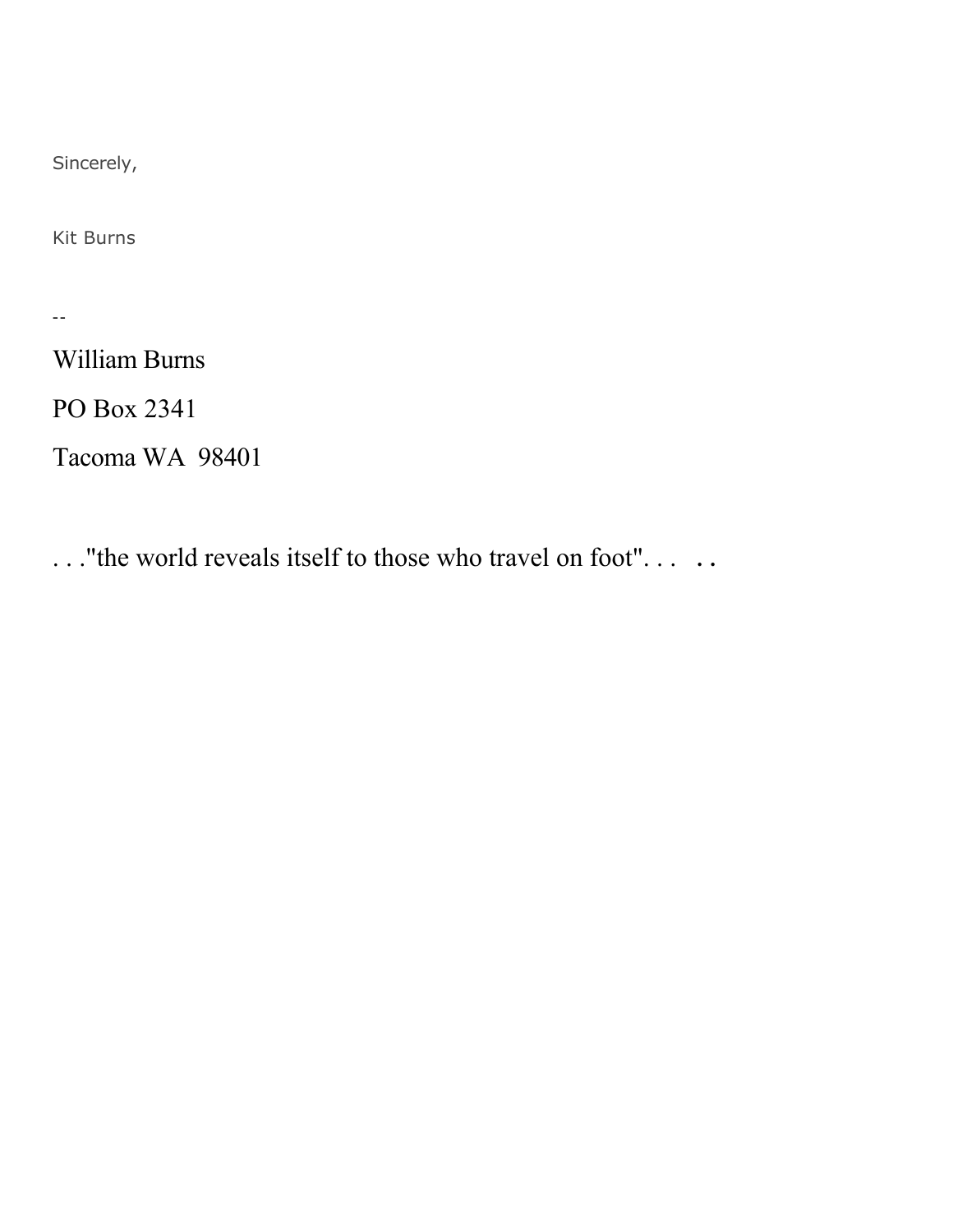Sincerely,

Kit Burns

--

William Burns

PO Box 2341

Tacoma WA 98401

..."the world reveals itself to those who travel on foot"... ..